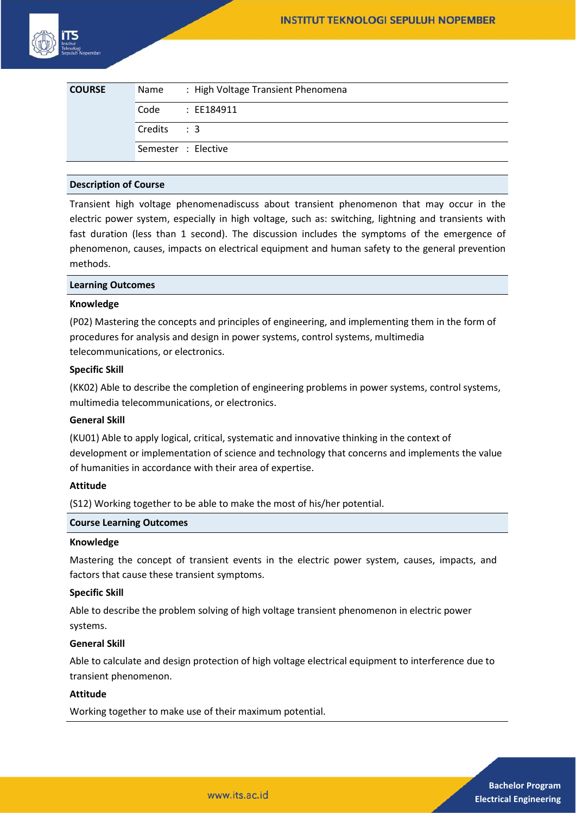| <b>COURSE</b> | Name       | : High Voltage Transient Phenomena |
|---------------|------------|------------------------------------|
|               | Code       | : EE184911                         |
|               | Credits: 3 |                                    |
|               |            | Semester : Elective                |

## **Description of Course**

Transient high voltage phenomenadiscuss about transient phenomenon that may occur in the electric power system, especially in high voltage, such as: switching, lightning and transients with fast duration (less than 1 second). The discussion includes the symptoms of the emergence of phenomenon, causes, impacts on electrical equipment and human safety to the general prevention methods.

## **Learning Outcomes**

### **Knowledge**

(P02) Mastering the concepts and principles of engineering, and implementing them in the form of procedures for analysis and design in power systems, control systems, multimedia telecommunications, or electronics.

### **Specific Skill**

(KK02) Able to describe the completion of engineering problems in power systems, control systems, multimedia telecommunications, or electronics.

## **General Skill**

(KU01) Able to apply logical, critical, systematic and innovative thinking in the context of development or implementation of science and technology that concerns and implements the value of humanities in accordance with their area of expertise.

## **Attitude**

(S12) Working together to be able to make the most of his/her potential.

#### **Course Learning Outcomes**

#### **Knowledge**

Mastering the concept of transient events in the electric power system, causes, impacts, and factors that cause these transient symptoms.

#### **Specific Skill**

Able to describe the problem solving of high voltage transient phenomenon in electric power systems.

#### **General Skill**

Able to calculate and design protection of high voltage electrical equipment to interference due to transient phenomenon.

## **Attitude**

Working together to make use of their maximum potential.